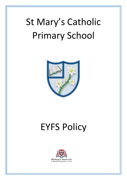# St Mary's Catholic Primary School



# EYFS Policy

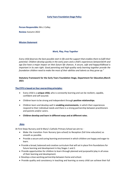# **Early Years Foundation Stage Policy**

**Person Responsible:** Mrs J Colley

**Review:** Autumn 2022

#### **Mission Statement**

#### *Work, Play, Pray Together*

*Every child deserves the best possible start in life and the support that enables them to fulfil their potential. Children develop quickly in the early years and a child's experiences betweenbirth and age five have a major impact on their future life chances. A secure, safe and happychildhood is important in its own right. Good parenting and high-quality early learning together provide the foundation children need to make the most of their abilities and talents as they grow up."*

## **Statutory Framework for the Early Years Foundation Stage, Department for Education,March 2021**

#### **The EYFS is based on four overarching principles:**

- Every child is a **unique child,** who is constantly learning and can be resilient, capable, confident and self-assured.
- Children learn to be strong and independent through **positive relationships**.
- Children learn and develop well in **enabling environments**, in which their experiences respond to their individual needs and there is a strong partnership between practitioners and parents and/or carers.
- **Children develop and learn in different ways and at different rates**.

#### **Aims**

At First Steps Nursery and St Mary's Catholic Primary School we aim to: ·

- Make the transition from Nursery (pre-school) to Reception (full time education) as smooth as possible.
- Provide a secure and caring learning environment in which children are happy and eager to learn.
- Provide a broad, balanced and creative curriculum that willset in place firm foundations for future learning and development in Key Stages 1 and 2.
- Provide opportunities for children to learn through planned and purposeful play in all areas of their learning and development.
- Develop a close working partnership between home and school.
- Provide quality and consistency in teaching and learning so every child can achieve their full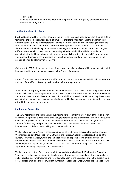potential.

•Ensure that every child is included and supported through equality of opportunity and anti-discriminatory practice.

#### **Starting School and Settling In**

Starting Nursery will be, for many children, the first time they have been away from their parents or familiar adults for a substantial length of time. It is therefore important that the transition from home to school is made as comfortable as possible. During the term prior to starting Nursery, the Nursery holds an Open Day for the children and their parents/carers to meet the staff, familiarise themselves with the building and experience some typical nursery activities. Parents will be given different times at which they can visit the setting with their child. This will also provide an opportunity for the Nursery teachers to have an informal chat with both the child/parents/carers. The Nursery Brochure is easily accessed on the school website and provides information on all aspects of attending Nursery at St. Mary's.

Children with SEND will be assessed and, if necessary, special provision will be made or extra adult help provided to offer them equal access to the Nursery Curriculum.

Parents/carers are made aware of the effect irregular attendance has on a child's ability to settle, and also of the effects of coming back to school after a long absence.

When joining Reception, the children make a preliminary visit with their parents the previous term. Parents will have access to a presentation which will provide them with all of the information needed about the start of their Reception year. If the children attend our Nursery they have many opportunities to meet their new teachers in the second half of the summer term. Reception children attend full days from the beginning.

#### **Staffing and Organisation**

The Early Years team are passionate about inspiring children from the very start of their journey at St Mary's. We provide a wide range of exciting opportunities and experiences through a curriculum which encompasses the best of both the indoor and outdoor space. Our aim is to ignite their appetite for learning, and provide them with the core characteristics required to become independent, confident, hardworking and creative individuals.

We have two part time Nursery sessions and we do offer 30 hours provision for eligible children. We maintain an adult/pupil ratio of 1:13 within the Nursery. Children visit forest school and the Nursery library each week, where the same ratios will be applicable. The children have daily opportunities for structured and free flow play both in the classroom and in the outdoor area. This time is supported by an adult, who acts as a facilitator to children's learning. The staff liaise together in planning, preparation and assessment.

We have one Reception Class and we maintain an adult/pupil ratio of 1:15 within the Reception Year; there is a Teaching Assistant in the classroom throughout the school day. The children have daily opportunities for structured and free-flow play both in the classroom and in the custom built EYFS outdoor area. The children will visit our forest school once a week, where the same ratios will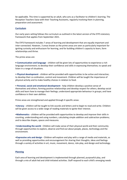be applicable. This time is supported by an adult, who acts as a facilitator to children's learning. The Reception Teachers liaise with their Teaching Assistants, regularly involving them in planning, preparation and assessment.

#### **Curriculum**

Our early years setting follows the curriculum as outlined in the latest version of the EYFS statutory framework that applies from September 2021.

The EYFS framework includes 7 areas of learning and development that are equally important and inter-connected. However, 3 areas known as the prime areas are seen as particularly important for igniting curiosity and enthusiasm for learning, and for building children's capacity to learn, form relationships and thrive.

The prime areas are:

**• Communication and language** - children will be given lots of opportunities to experience a rich language environment; to develop their confidence and skills in expressing themselves; to speak and listen in a range of situations.

• **Physical development** - children will be provided with opportunities to be active and interactive; to develop their co-ordination, control and movement. Children will be taught the importance of physical activity and to make healthy choices in relation to food.

• **Personal, social and emotional development** - help children develop a positive sense of themselves and others; forming positive relationships and develop respect for others; develop social skills and learn how to manage their feelings; understand appropriate behaviour in groups; and have confidence in their own abilities.

Prime areas are strengthened and applied through 4 specific areas:

•**Literacy** - children will be taught to link sounds and letters and to begin to read and write. Children will be given access to a wide range of reading materials to ignite their interest.

•**Mathematics** - children will be provided with opportunities to develop and improve their skills in counting, understanding and using numbers, calculating simple addition and subtraction problems; and to describe shapes, spaces and measures.

•**Understanding the world** - Children will make sense of their physical world and their community through opportunities to explore, observe and find out about people, places, technology and the environment.

•**Expressive arts and design** - Children will explore and play with a range of media and materials, as well as providing opportunities and encouragement for sharing their thoughts, ideas and feelings through a variety of activities in art, music, movement, dance, role-play, and design and technology.

#### **Planning**

Each area of learning and development is implemented through planned, purposeful play, and through a mix of adult-led and child-initiated activities. Staff respond to each child's emerging needs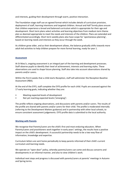and interests, guiding their development through warm, positive interaction.

The Foundation stage staff use an agreed format which includes details of curriculum provision, deployment of staff, learning intentions and targeted children. Annual and Half Termly plans ensure that children experience a broad and balanced curriculum which is appropriate for their age and development. Short term plans select activities and learning objectives from medium term theme plan as deemed appropriate to meet the needs and interests of the children. Plans are extended and differentiated accordingly. Short term weekly plans also have scope for 'spontaneous planning', based on learning needs and interests as they occur through the week.

As children grow older, and as their development allows, the balance gradually shifts towards more adult-led activities to help children prepare for more formal learning, ready for year 1.

# **Assessment**

At St Mary's, ongoing assessment is an integral part of the learning and development processes. Staff observe pupils to identify their level of achievement, interests and learning styles. These observations are used to shape future planning. Staff also take into account observations shared by parents and/or carers.

Within the first 6 weeks that a child starts Reception, staff will administer the Reception Baseline Assessment (RBA).

At the end of the EYFS, staff complete the EYFS profile for each child. Pupils are assessed against the 17 early learning goals, indicating whether they are:

- Meeting expected levels of development
- Not yet reaching expected levels ('emerging')

The profile reflects ongoing observations, and discussions with parents and/or carers. The results of the profile are shared with parents and/or carers for their child. The profile is moderated internally (referring to the Development Matters guidance) and in partnership with other local schools, to ensure consistent assessment judgements. EYFS profile data is submitted to the local authority.

#### **Working with Parents**

We recognise that Parents/carers are the child's first and most enduring educators. When Parents/carers and practitioners work together in early years' settings, the results have a positive impact on the child's development. A successful partnership needs to be a two-way flow of information, knowledge and expertise.

Curriculum letters are sent home periodically to keep parents informed of their child's current curriculum and learning needs.

We operate an "open door" policy, whereby parents/carers can come and discuss concerns and developments in an informal manner, and also to view children's work.

Individual next steps and progress is discussed with parents/carers at parents' meetings in Autumn and Spring terms.